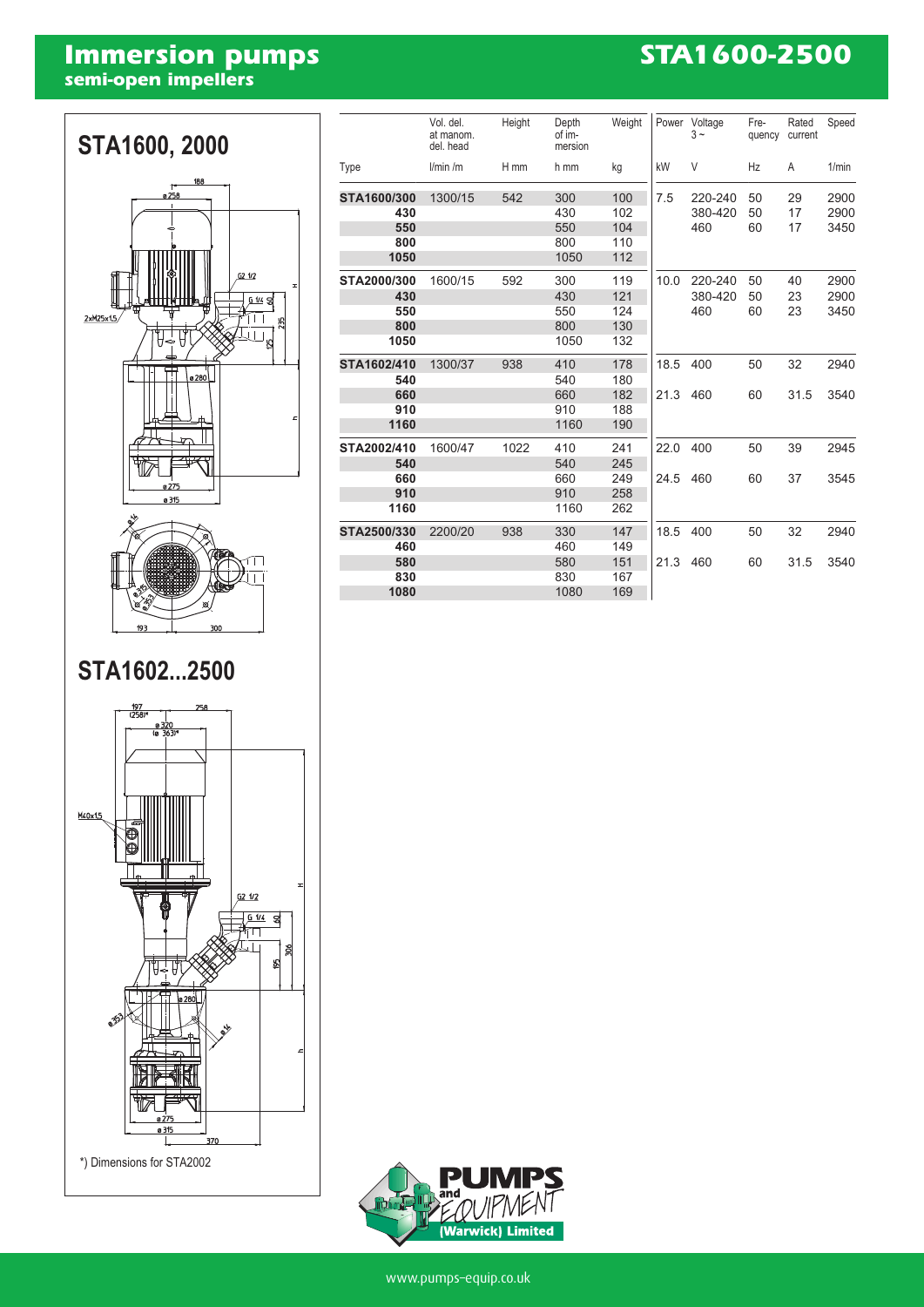# **Immersion pumps**<br>semi-open impellers

### **STA1600-2500**



### STA1602...2500



|             | Vol. del.<br>at manom. | Height | Depth<br>of im- | Weight | Power | Voltage<br>$3 -$ | Fre-<br>quency | Rated<br>current | Speed        |
|-------------|------------------------|--------|-----------------|--------|-------|------------------|----------------|------------------|--------------|
|             | del. head              |        | mersion         |        |       |                  |                |                  |              |
| Type        | l/min/m                | H mm   | h mm            | kg     | kW    | V                | Hz             | A                | 1/min        |
| STA1600/300 | 1300/15                | 542    | 300             | 100    | 7.5   | 220-240          | 50             | 29               | 2900         |
| 430         |                        |        | 430             | 102    |       | 380-420          | 50             | 17               | 2900         |
| 550         |                        |        | 550             | 104    |       | 460              | 60             | 17               | 3450         |
| 800         |                        |        | 800             | 110    |       |                  |                |                  |              |
| 1050        |                        |        | 1050            | 112    |       |                  |                |                  |              |
| STA2000/300 | 1600/15                | 592    | 300             | 119    | 10.0  | 220-240          | 50             | 40               | 2900         |
| 430         |                        |        | 430             | 121    |       | 380-420<br>460   | 50<br>60       | 23<br>23         | 2900<br>3450 |
| 550         |                        |        | 550             | 124    |       |                  |                |                  |              |
| 800         |                        |        | 800             | 130    |       |                  |                |                  |              |
| 1050        |                        |        | 1050            | 132    |       |                  |                |                  |              |
| STA1602/410 | 1300/37                | 938    | 410             | 178    | 18.5  | 400              | 50             | 32               | 2940         |
| 540         |                        |        | 540             | 180    |       |                  |                |                  |              |
| 660         |                        |        | 660             | 182    | 21.3  | 460              | 60             | 31.5             | 3540         |
| 910         |                        |        | 910             | 188    |       |                  |                |                  |              |
| 1160        |                        |        | 1160            | 190    |       |                  |                |                  |              |
| STA2002/410 | 1600/47                | 1022   | 410             | 241    | 22.0  | 400              | 50             | 39               | 2945         |
| 540         |                        |        | 540             | 245    |       |                  |                |                  |              |
| 660         |                        |        | 660             | 249    | 24.5  | 460              | 60             | 37               | 3545         |
| 910         |                        |        | 910             | 258    |       |                  |                |                  |              |
| 1160        |                        |        | 1160            | 262    |       |                  |                |                  |              |
| STA2500/330 | 2200/20                | 938    | 330             | 147    | 18.5  | 400              | 50             | 32               | 2940         |
| 460         |                        |        | 460             | 149    |       |                  |                |                  |              |
| 580         |                        |        | 580             | 151    | 21.3  | 460              | 60             | 31.5             | 3540         |
| 830         |                        |        | 830             | 167    |       |                  |                |                  |              |
| 1080        |                        |        | 1080            | 169    |       |                  |                |                  |              |
|             |                        |        |                 |        |       |                  |                |                  |              |